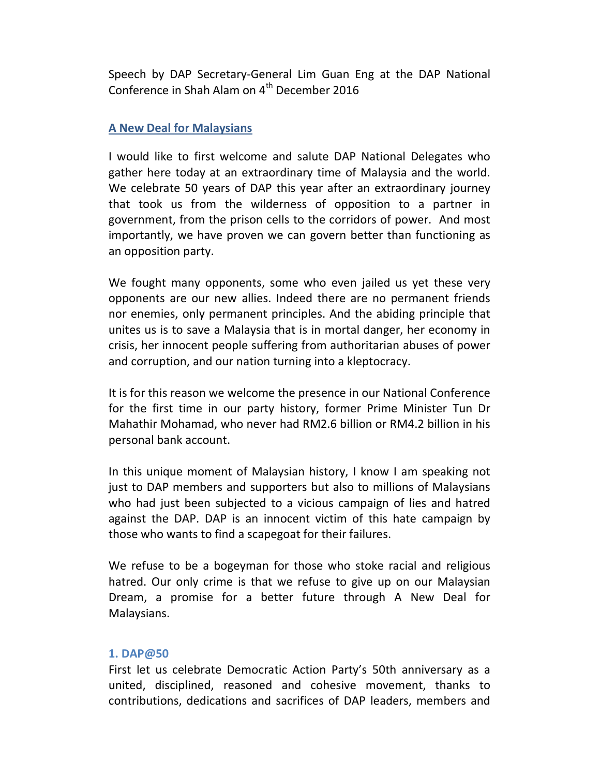Speech by DAP Secretary-General Lim Guan Eng at the DAP National Conference in Shah Alam on 4<sup>th</sup> December 2016

# A New Deal for Malaysians

I would like to first welcome and salute DAP National Delegates who gather here today at an extraordinary time of Malaysia and the world. We celebrate 50 years of DAP this year after an extraordinary journey that took us from the wilderness of opposition to a partner in government, from the prison cells to the corridors of power. And most importantly, we have proven we can govern better than functioning as an opposition party.

We fought many opponents, some who even jailed us yet these very opponents are our new allies. Indeed there are no permanent friends nor enemies, only permanent principles. And the abiding principle that unites us is to save a Malaysia that is in mortal danger, her economy in crisis, her innocent people suffering from authoritarian abuses of power and corruption, and our nation turning into a kleptocracy.

It is for this reason we welcome the presence in our National Conference for the first time in our party history, former Prime Minister Tun Dr Mahathir Mohamad, who never had RM2.6 billion or RM4.2 billion in his personal bank account.

In this unique moment of Malaysian history, I know I am speaking not just to DAP members and supporters but also to millions of Malaysians who had just been subjected to a vicious campaign of lies and hatred against the DAP. DAP is an innocent victim of this hate campaign by those who wants to find a scapegoat for their failures.

We refuse to be a bogeyman for those who stoke racial and religious hatred. Our only crime is that we refuse to give up on our Malaysian Dream, a promise for a better future through A New Deal for Malaysians.

#### 1. DAP@50

First let us celebrate Democratic Action Party's 50th anniversary as a united, disciplined, reasoned and cohesive movement, thanks to contributions, dedications and sacrifices of DAP leaders, members and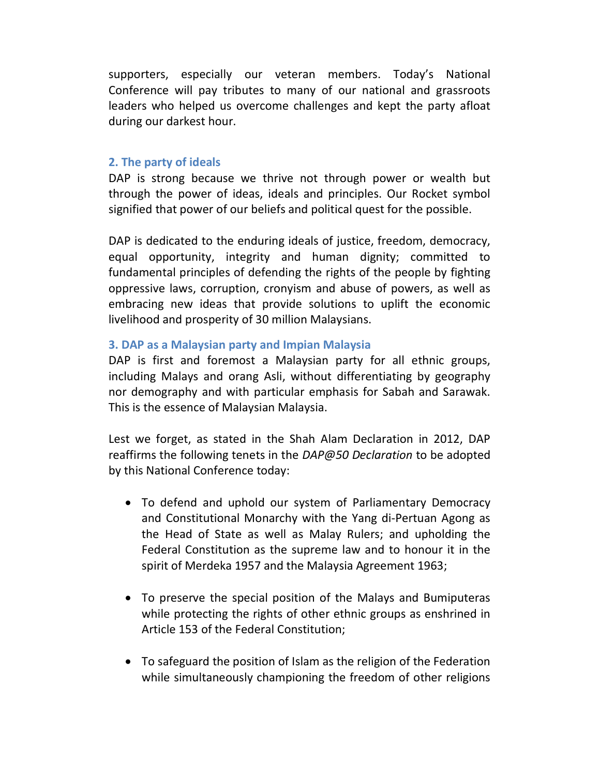supporters, especially our veteran members. Today's National Conference will pay tributes to many of our national and grassroots leaders who helped us overcome challenges and kept the party afloat during our darkest hour.

## 2. The party of ideals

DAP is strong because we thrive not through power or wealth but through the power of ideas, ideals and principles. Our Rocket symbol signified that power of our beliefs and political quest for the possible.

DAP is dedicated to the enduring ideals of justice, freedom, democracy, equal opportunity, integrity and human dignity; committed to fundamental principles of defending the rights of the people by fighting oppressive laws, corruption, cronyism and abuse of powers, as well as embracing new ideas that provide solutions to uplift the economic livelihood and prosperity of 30 million Malaysians.

### 3. DAP as a Malaysian party and Impian Malaysia

DAP is first and foremost a Malaysian party for all ethnic groups, including Malays and orang Asli, without differentiating by geography nor demography and with particular emphasis for Sabah and Sarawak. This is the essence of Malaysian Malaysia.

Lest we forget, as stated in the Shah Alam Declaration in 2012, DAP reaffirms the following tenets in the DAP@50 Declaration to be adopted by this National Conference today:

- To defend and uphold our system of Parliamentary Democracy and Constitutional Monarchy with the Yang di-Pertuan Agong as the Head of State as well as Malay Rulers; and upholding the Federal Constitution as the supreme law and to honour it in the spirit of Merdeka 1957 and the Malaysia Agreement 1963;
- To preserve the special position of the Malays and Bumiputeras while protecting the rights of other ethnic groups as enshrined in Article 153 of the Federal Constitution;
- To safeguard the position of Islam as the religion of the Federation while simultaneously championing the freedom of other religions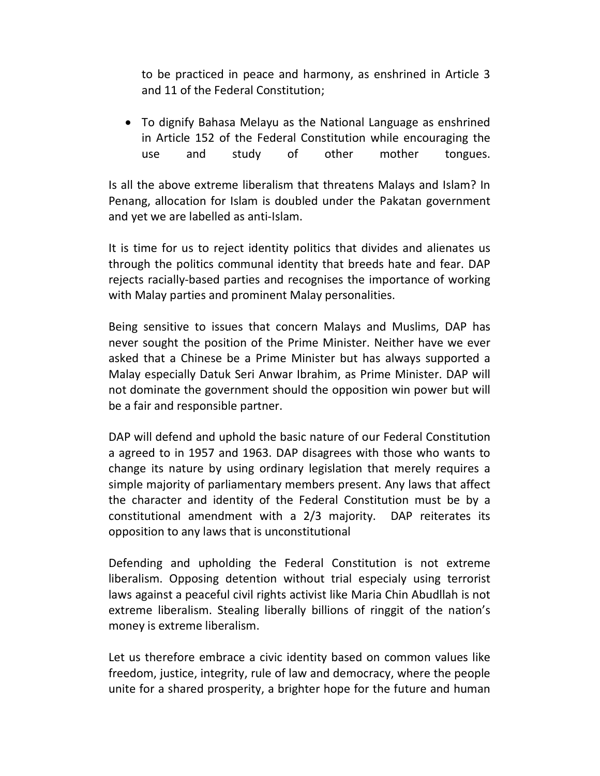to be practiced in peace and harmony, as enshrined in Article 3 and 11 of the Federal Constitution;

 To dignify Bahasa Melayu as the National Language as enshrined in Article 152 of the Federal Constitution while encouraging the use and study of other mother tongues.

Is all the above extreme liberalism that threatens Malays and Islam? In Penang, allocation for Islam is doubled under the Pakatan government and yet we are labelled as anti-Islam.

It is time for us to reject identity politics that divides and alienates us through the politics communal identity that breeds hate and fear. DAP rejects racially-based parties and recognises the importance of working with Malay parties and prominent Malay personalities.

Being sensitive to issues that concern Malays and Muslims, DAP has never sought the position of the Prime Minister. Neither have we ever asked that a Chinese be a Prime Minister but has always supported a Malay especially Datuk Seri Anwar Ibrahim, as Prime Minister. DAP will not dominate the government should the opposition win power but will be a fair and responsible partner.

DAP will defend and uphold the basic nature of our Federal Constitution a agreed to in 1957 and 1963. DAP disagrees with those who wants to change its nature by using ordinary legislation that merely requires a simple majority of parliamentary members present. Any laws that affect the character and identity of the Federal Constitution must be by a constitutional amendment with a 2/3 majority. DAP reiterates its opposition to any laws that is unconstitutional

Defending and upholding the Federal Constitution is not extreme liberalism. Opposing detention without trial especialy using terrorist laws against a peaceful civil rights activist like Maria Chin Abudllah is not extreme liberalism. Stealing liberally billions of ringgit of the nation's money is extreme liberalism.

Let us therefore embrace a civic identity based on common values like freedom, justice, integrity, rule of law and democracy, where the people unite for a shared prosperity, a brighter hope for the future and human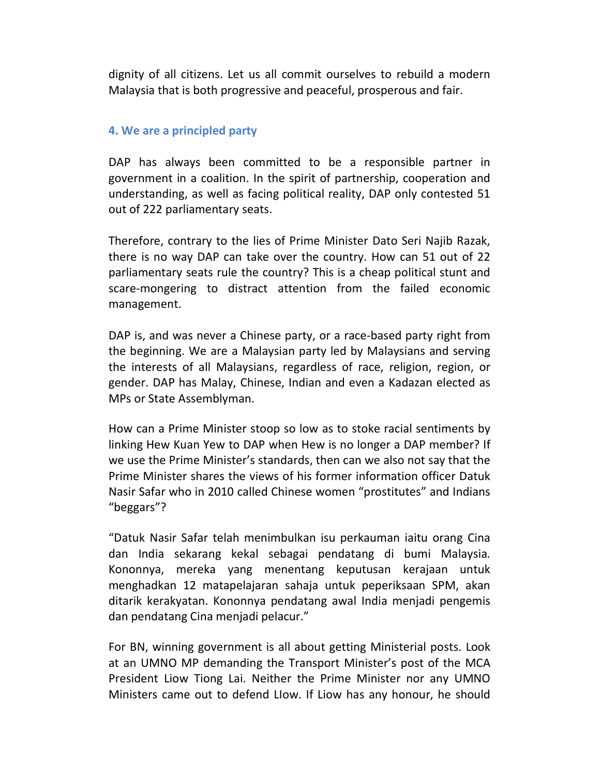dignity of all citizens. Let us all commit ourselves to rebuild a modern Malaysia that is both progressive and peaceful, prosperous and fair.

# 4. We are a principled party

DAP has always been committed to be a responsible partner in government in a coalition. In the spirit of partnership, cooperation and understanding, as well as facing political reality, DAP only contested 51 out of 222 parliamentary seats.

Therefore, contrary to the lies of Prime Minister Dato Seri Najib Razak, there is no way DAP can take over the country. How can 51 out of 22 parliamentary seats rule the country? This is a cheap political stunt and scare-mongering to distract attention from the failed economic management.

DAP is, and was never a Chinese party, or a race-based party right from the beginning. We are a Malaysian party led by Malaysians and serving the interests of all Malaysians, regardless of race, religion, region, or gender. DAP has Malay, Chinese, Indian and even a Kadazan elected as MPs or State Assemblyman.

How can a Prime Minister stoop so low as to stoke racial sentiments by linking Hew Kuan Yew to DAP when Hew is no longer a DAP member? If we use the Prime Minister's standards, then can we also not say that the Prime Minister shares the views of his former information officer Datuk Nasir Safar who in 2010 called Chinese women "prostitutes" and Indians "beggars"?

"Datuk Nasir Safar telah menimbulkan isu perkauman iaitu orang Cina dan India sekarang kekal sebagai pendatang di bumi Malaysia. Kononnya, mereka yang menentang keputusan kerajaan untuk menghadkan 12 matapelajaran sahaja untuk peperiksaan SPM, akan ditarik kerakyatan. Kononnya pendatang awal India menjadi pengemis dan pendatang Cina menjadi pelacur."

For BN, winning government is all about getting Ministerial posts. Look at an UMNO MP demanding the Transport Minister's post of the MCA President Liow Tiong Lai. Neither the Prime Minister nor any UMNO Ministers came out to defend LIow. If Liow has any honour, he should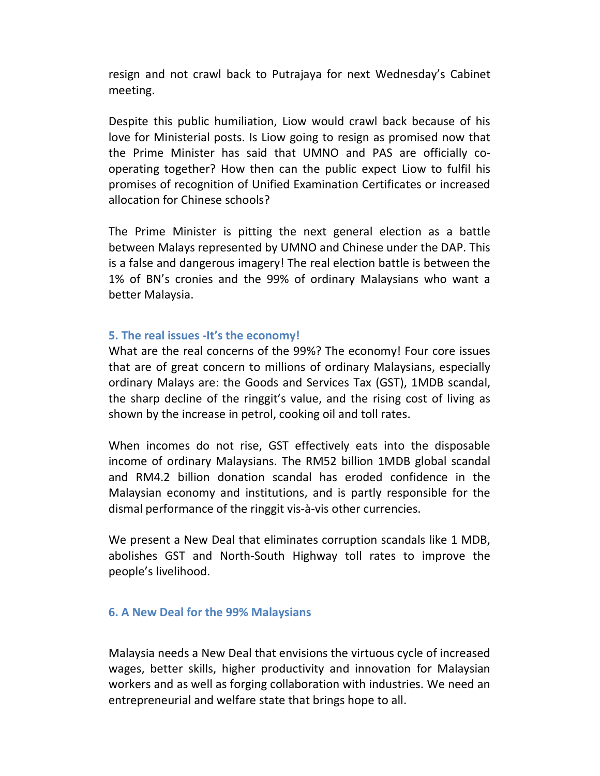resign and not crawl back to Putrajaya for next Wednesday's Cabinet meeting.

Despite this public humiliation, Liow would crawl back because of his love for Ministerial posts. Is Liow going to resign as promised now that the Prime Minister has said that UMNO and PAS are officially cooperating together? How then can the public expect Liow to fulfil his promises of recognition of Unified Examination Certificates or increased allocation for Chinese schools?

The Prime Minister is pitting the next general election as a battle between Malays represented by UMNO and Chinese under the DAP. This is a false and dangerous imagery! The real election battle is between the 1% of BN's cronies and the 99% of ordinary Malaysians who want a better Malaysia.

### 5. The real issues -It's the economy!

What are the real concerns of the 99%? The economy! Four core issues that are of great concern to millions of ordinary Malaysians, especially ordinary Malays are: the Goods and Services Tax (GST), 1MDB scandal, the sharp decline of the ringgit's value, and the rising cost of living as shown by the increase in petrol, cooking oil and toll rates.

When incomes do not rise, GST effectively eats into the disposable income of ordinary Malaysians. The RM52 billion 1MDB global scandal and RM4.2 billion donation scandal has eroded confidence in the Malaysian economy and institutions, and is partly responsible for the dismal performance of the ringgit vis-à-vis other currencies.

We present a New Deal that eliminates corruption scandals like 1 MDB, abolishes GST and North-South Highway toll rates to improve the people's livelihood.

#### 6. A New Deal for the 99% Malaysians

Malaysia needs a New Deal that envisions the virtuous cycle of increased wages, better skills, higher productivity and innovation for Malaysian workers and as well as forging collaboration with industries. We need an entrepreneurial and welfare state that brings hope to all.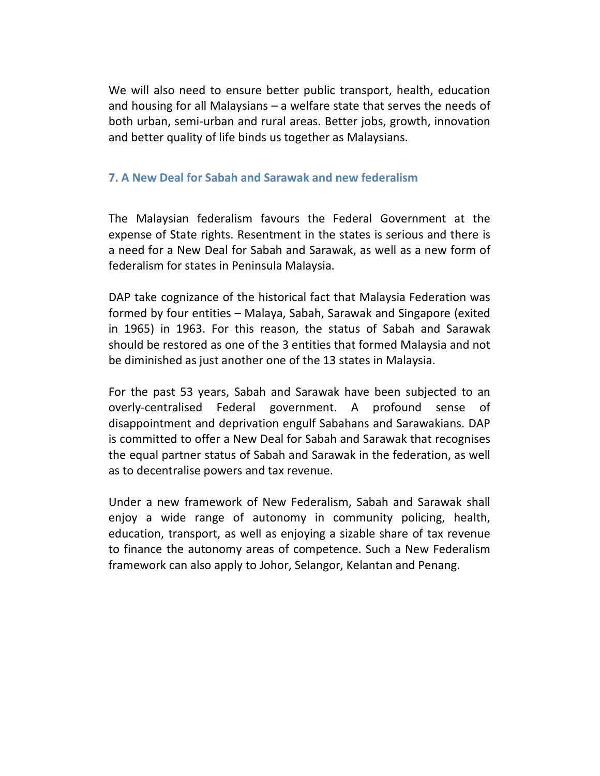We will also need to ensure better public transport, health, education and housing for all Malaysians – a welfare state that serves the needs of both urban, semi-urban and rural areas. Better jobs, growth, innovation and better quality of life binds us together as Malaysians.

## 7. A New Deal for Sabah and Sarawak and new federalism

The Malaysian federalism favours the Federal Government at the expense of State rights. Resentment in the states is serious and there is a need for a New Deal for Sabah and Sarawak, as well as a new form of federalism for states in Peninsula Malaysia.

DAP take cognizance of the historical fact that Malaysia Federation was formed by four entities – Malaya, Sabah, Sarawak and Singapore (exited in 1965) in 1963. For this reason, the status of Sabah and Sarawak should be restored as one of the 3 entities that formed Malaysia and not be diminished as just another one of the 13 states in Malaysia.

For the past 53 years, Sabah and Sarawak have been subjected to an overly-centralised Federal government. A profound sense of disappointment and deprivation engulf Sabahans and Sarawakians. DAP is committed to offer a New Deal for Sabah and Sarawak that recognises the equal partner status of Sabah and Sarawak in the federation, as well as to decentralise powers and tax revenue.

Under a new framework of New Federalism, Sabah and Sarawak shall enjoy a wide range of autonomy in community policing, health, education, transport, as well as enjoying a sizable share of tax revenue to finance the autonomy areas of competence. Such a New Federalism framework can also apply to Johor, Selangor, Kelantan and Penang.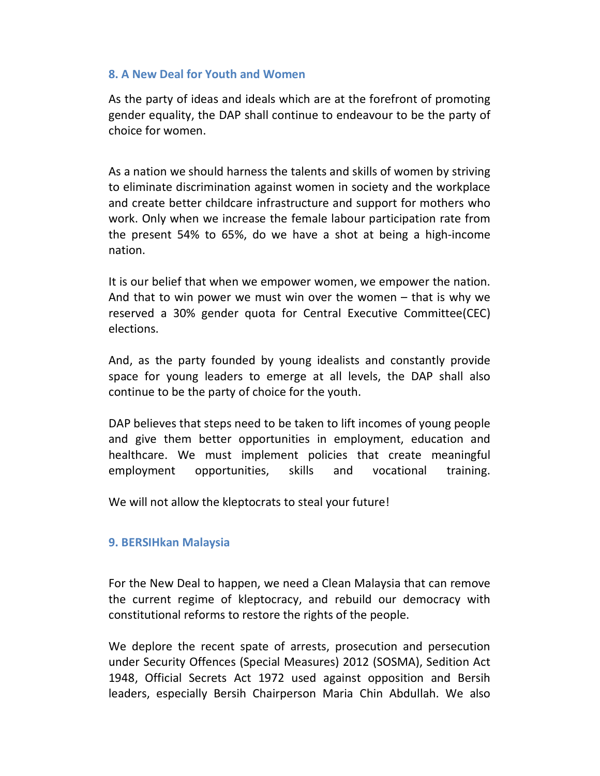# 8. A New Deal for Youth and Women

As the party of ideas and ideals which are at the forefront of promoting gender equality, the DAP shall continue to endeavour to be the party of choice for women.

As a nation we should harness the talents and skills of women by striving to eliminate discrimination against women in society and the workplace and create better childcare infrastructure and support for mothers who work. Only when we increase the female labour participation rate from the present 54% to 65%, do we have a shot at being a high-income nation.

It is our belief that when we empower women, we empower the nation. And that to win power we must win over the women – that is why we reserved a 30% gender quota for Central Executive Committee(CEC) elections.

And, as the party founded by young idealists and constantly provide space for young leaders to emerge at all levels, the DAP shall also continue to be the party of choice for the youth.

DAP believes that steps need to be taken to lift incomes of young people and give them better opportunities in employment, education and healthcare. We must implement policies that create meaningful employment opportunities, skills and vocational training.

We will not allow the kleptocrats to steal your future!

#### 9. BERSIHkan Malaysia

For the New Deal to happen, we need a Clean Malaysia that can remove the current regime of kleptocracy, and rebuild our democracy with constitutional reforms to restore the rights of the people.

We deplore the recent spate of arrests, prosecution and persecution under Security Offences (Special Measures) 2012 (SOSMA), Sedition Act 1948, Official Secrets Act 1972 used against opposition and Bersih leaders, especially Bersih Chairperson Maria Chin Abdullah. We also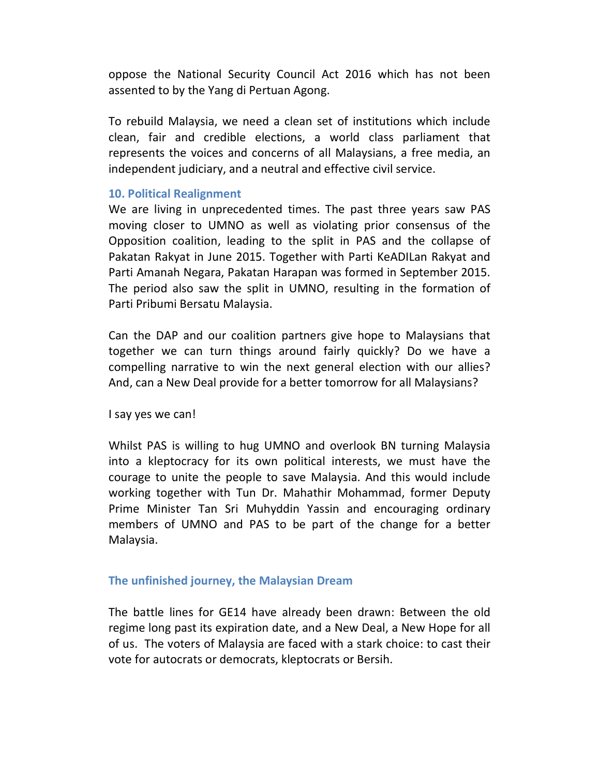oppose the National Security Council Act 2016 which has not been assented to by the Yang di Pertuan Agong.

To rebuild Malaysia, we need a clean set of institutions which include clean, fair and credible elections, a world class parliament that represents the voices and concerns of all Malaysians, a free media, an independent judiciary, and a neutral and effective civil service.

### 10. Political Realignment

We are living in unprecedented times. The past three years saw PAS moving closer to UMNO as well as violating prior consensus of the Opposition coalition, leading to the split in PAS and the collapse of Pakatan Rakyat in June 2015. Together with Parti KeADILan Rakyat and Parti Amanah Negara, Pakatan Harapan was formed in September 2015. The period also saw the split in UMNO, resulting in the formation of Parti Pribumi Bersatu Malaysia.

Can the DAP and our coalition partners give hope to Malaysians that together we can turn things around fairly quickly? Do we have a compelling narrative to win the next general election with our allies? And, can a New Deal provide for a better tomorrow for all Malaysians?

I say yes we can!

Whilst PAS is willing to hug UMNO and overlook BN turning Malaysia into a kleptocracy for its own political interests, we must have the courage to unite the people to save Malaysia. And this would include working together with Tun Dr. Mahathir Mohammad, former Deputy Prime Minister Tan Sri Muhyddin Yassin and encouraging ordinary members of UMNO and PAS to be part of the change for a better Malaysia.

# The unfinished journey, the Malaysian Dream

The battle lines for GE14 have already been drawn: Between the old regime long past its expiration date, and a New Deal, a New Hope for all of us. The voters of Malaysia are faced with a stark choice: to cast their vote for autocrats or democrats, kleptocrats or Bersih.